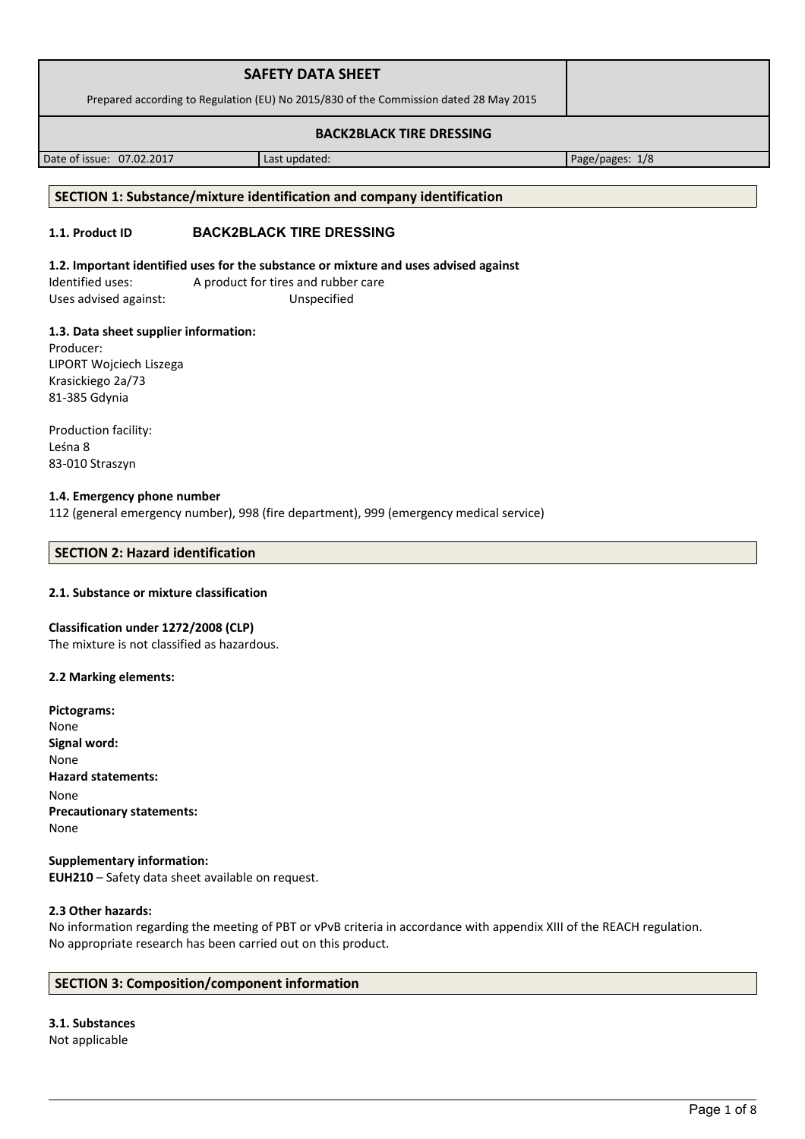| <b>SAFETY DATA SHEET</b>                                                              |  |
|---------------------------------------------------------------------------------------|--|
| Prepared according to Regulation (EU) No 2015/830 of the Commission dated 28 May 2015 |  |
| <b>BACK2BLACK TIRE DRESSING</b>                                                       |  |

Date of issue: 07.02.2017 Last updated: Page/pages: 1/8

# **SECTION 1: Substance/mixture identification and company identification**

# **1.1. Product ID BACK2BLACK TIRE DRESSING**

# **1.2. Important identified uses for the substance or mixture and uses advised against**

Identified uses: A product for tires and rubber care Uses advised against: Unspecified

# **1.3. Data sheet supplier information:**

Producer: LIPORT Wojciech Liszega Krasickiego 2a/73 81-385 Gdynia

Production facility: Leśna 8 83-010 Straszyn

### **1.4. Emergency phone number**

112 (general emergency number), 998 (fire department), 999 (emergency medical service)

## **SECTION 2: Hazard identification**

# **2.1. Substance or mixture classification**

### **Classification under 1272/2008 (CLP)**

The mixture is not classified as hazardous.

## **2.2 Marking elements:**

| Pictograms:                      |
|----------------------------------|
| None                             |
| Signal word:                     |
| None                             |
| <b>Hazard statements:</b>        |
| None                             |
| <b>Precautionary statements:</b> |
| None                             |
|                                  |

## **Supplementary information: EUH210** – Safety data sheet available on request.

### **2.3 Other hazards:**

No information regarding the meeting of PBT or vPvB criteria in accordance with appendix XIII of the REACH regulation. No appropriate research has been carried out on this product.

# **SECTION 3: Composition/component information**

## **3.1. Substances** Not applicable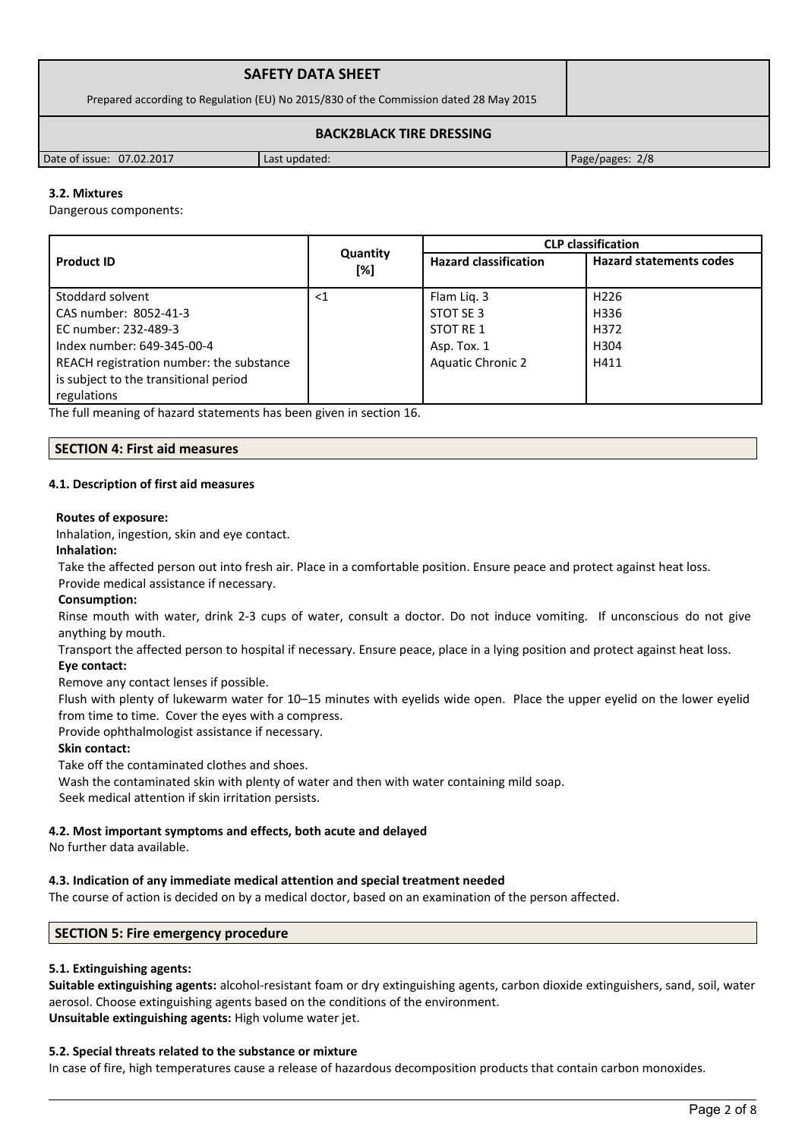| <b>SAFETY DATA SHEET</b>                                                              |               |                 |  |
|---------------------------------------------------------------------------------------|---------------|-----------------|--|
| Prepared according to Regulation (EU) No 2015/830 of the Commission dated 28 May 2015 |               |                 |  |
| <b>BACK2BLACK TIRE DRESSING</b>                                                       |               |                 |  |
| Date of issue: 07.02.2017                                                             | Last updated: | Page/pages: 2/8 |  |

# **3.2. Mixtures**

Dangerous components:

|                                          | Quantity<br>[%] | <b>CLP classification</b>    |                                |  |
|------------------------------------------|-----------------|------------------------------|--------------------------------|--|
| <b>Product ID</b>                        |                 | <b>Hazard classification</b> | <b>Hazard statements codes</b> |  |
| Stoddard solvent                         | ${<}1$          | Flam Lig. 3                  | H <sub>226</sub>               |  |
| CAS number: 8052-41-3                    |                 | STOT SE 3                    | H336                           |  |
| EC number: 232-489-3                     |                 | STOT RE 1                    | H372                           |  |
| Index number: 649-345-00-4               |                 | Asp. Tox. 1                  | H <sub>304</sub>               |  |
| REACH registration number: the substance |                 | <b>Aquatic Chronic 2</b>     | H411                           |  |
| is subject to the transitional period    |                 |                              |                                |  |
| regulations                              |                 |                              |                                |  |

The full meaning of hazard statements has been given in section 16.

### **SECTION 4: First aid measures**

### **4.1. Description of first aid measures**

#### **Routes of exposure:**

Inhalation, ingestion, skin and eye contact.

#### **Inhalation:**

Take the affected person out into fresh air. Place in a comfortable position. Ensure peace and protect against heat loss.

## Provide medical assistance if necessary.

### **Consumption:**

Rinse mouth with water, drink 2-3 cups of water, consult a doctor. Do not induce vomiting. If unconscious do not give anything by mouth.

Transport the affected person to hospital if necessary. Ensure peace, place in a lying position and protect against heat loss.

## **Eye contact:**

Remove any contact lenses if possible.

Flush with plenty of lukewarm water for 10–15 minutes with eyelids wide open. Place the upper eyelid on the lower eyelid from time to time. Cover the eyes with a compress.

Provide ophthalmologist assistance if necessary.

### **Skin contact:**

Take off the contaminated clothes and shoes.

Wash the contaminated skin with plenty of water and then with water containing mild soap.

Seek medical attention if skin irritation persists.

### **4.2. Most important symptoms and effects, both acute and delayed**

No further data available.

### **4.3. Indication of any immediate medical attention and special treatment needed**

The course of action is decided on by a medical doctor, based on an examination of the person affected.

### **SECTION 5: Fire emergency procedure**

### **5.1. Extinguishing agents:**

**Suitable extinguishing agents:** alcohol-resistant foam or dry extinguishing agents, carbon dioxide extinguishers, sand, soil, water aerosol. Choose extinguishing agents based on the conditions of the environment. **Unsuitable extinguishing agents:** High volume water jet.

### **5.2. Special threats related to the substance or mixture**

In case of fire, high temperatures cause a release of hazardous decomposition products that contain carbon monoxides.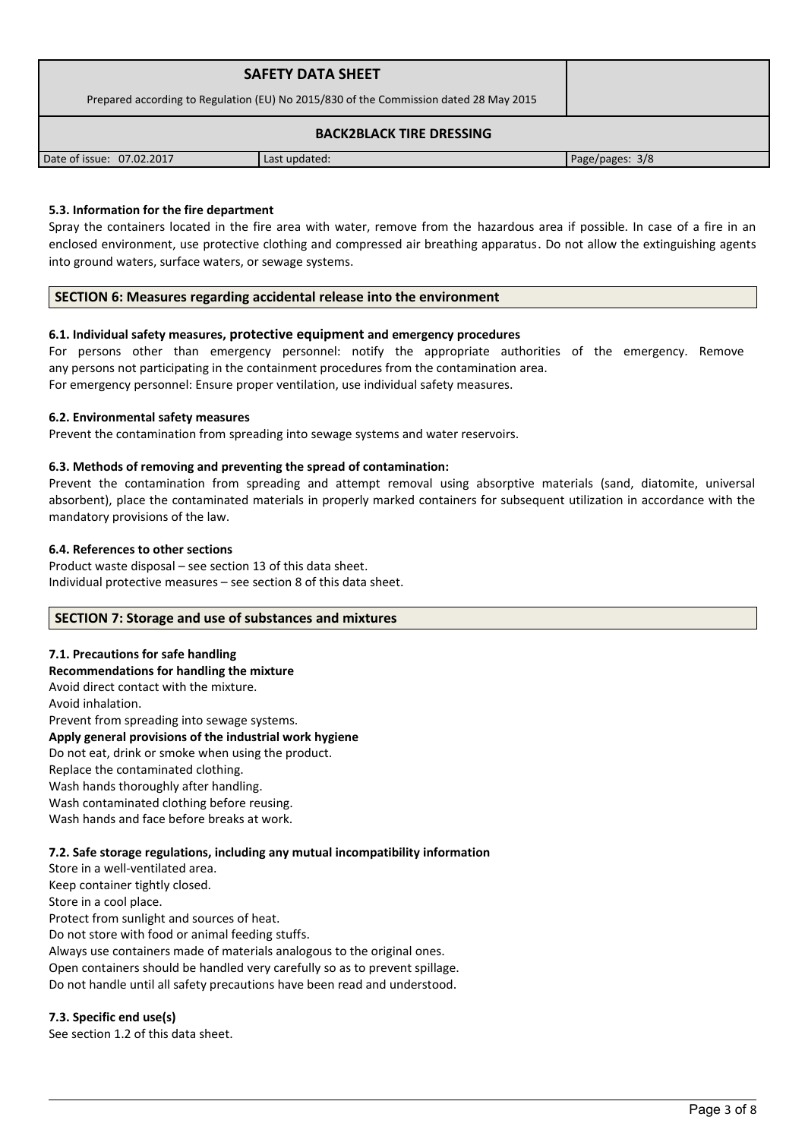| <b>SAFETY DATA SHEET</b><br>Prepared according to Regulation (EU) No 2015/830 of the Commission dated 28 May 2015 |               |                 |  |
|-------------------------------------------------------------------------------------------------------------------|---------------|-----------------|--|
| <b>BACK2BLACK TIRE DRESSING</b>                                                                                   |               |                 |  |
| Date of issue: 07.02.2017                                                                                         | Last updated: | Page/pages: 3/8 |  |

## **5.3. Information for the fire department**

Spray the containers located in the fire area with water, remove from the hazardous area if possible. In case of a fire in an enclosed environment, use protective clothing and compressed air breathing apparatus. Do not allow the extinguishing agents into ground waters, surface waters, or sewage systems.

### **SECTION 6: Measures regarding accidental release into the environment**

### **6.1. Individual safety measures, protective equipment and emergency procedures**

For persons other than emergency personnel: notify the appropriate authorities of the emergency. Remove any persons not participating in the containment procedures from the contamination area. For emergency personnel: Ensure proper ventilation, use individual safety measures.

### **6.2. Environmental safety measures**

Prevent the contamination from spreading into sewage systems and water reservoirs.

### **6.3. Methods of removing and preventing the spread of contamination:**

Prevent the contamination from spreading and attempt removal using absorptive materials (sand, diatomite, universal absorbent), place the contaminated materials in properly marked containers for subsequent utilization in accordance with the mandatory provisions of the law.

### **6.4. References to other sections**

Product waste disposal – see section 13 of this data sheet. Individual protective measures – see section 8 of this data sheet.

### **SECTION 7: Storage and use of substances and mixtures**

### **7.1. Precautions for safe handling**

**Recommendations for handling the mixture** 

Avoid direct contact with the mixture. Avoid inhalation. Prevent from spreading into sewage systems. **Apply general provisions of the industrial work hygiene**  Do not eat, drink or smoke when using the product. Replace the contaminated clothing. Wash hands thoroughly after handling. Wash contaminated clothing before reusing. Wash hands and face before breaks at work.

#### **7.2. Safe storage regulations, including any mutual incompatibility information**

Store in a well-ventilated area. Keep container tightly closed. Store in a cool place. Protect from sunlight and sources of heat. Do not store with food or animal feeding stuffs. Always use containers made of materials analogous to the original ones. Open containers should be handled very carefully so as to prevent spillage. Do not handle until all safety precautions have been read and understood.

### **7.3. Specific end use(s)**

See section 1.2 of this data sheet.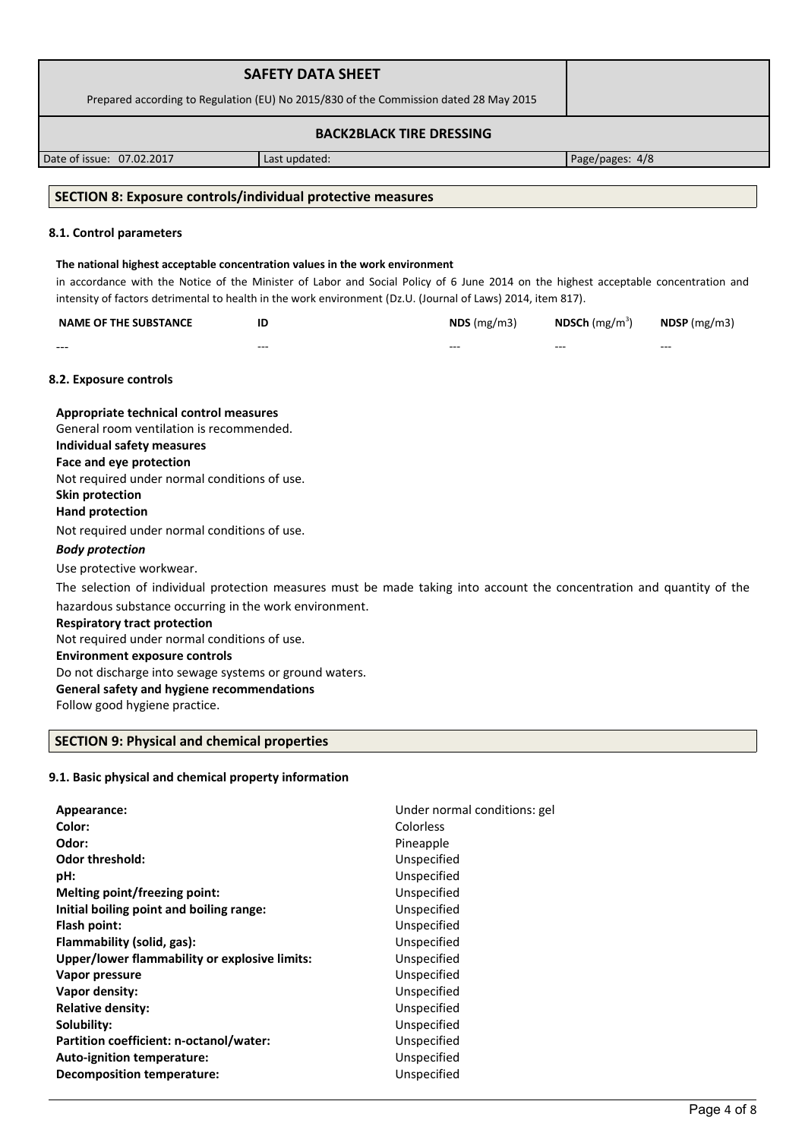|                                                                                                                        | <b>SAFETY DATA SHEET</b> |                                                                                                                                     |                 |              |
|------------------------------------------------------------------------------------------------------------------------|--------------------------|-------------------------------------------------------------------------------------------------------------------------------------|-----------------|--------------|
|                                                                                                                        |                          | Prepared according to Regulation (EU) No 2015/830 of the Commission dated 28 May 2015                                               |                 |              |
|                                                                                                                        |                          |                                                                                                                                     |                 |              |
|                                                                                                                        |                          | <b>BACK2BLACK TIRE DRESSING</b>                                                                                                     |                 |              |
| Date of issue: 07.02.2017                                                                                              | Last updated:            |                                                                                                                                     | Page/pages: 4/8 |              |
|                                                                                                                        |                          |                                                                                                                                     |                 |              |
| <b>SECTION 8: Exposure controls/individual protective measures</b>                                                     |                          |                                                                                                                                     |                 |              |
|                                                                                                                        |                          |                                                                                                                                     |                 |              |
| 8.1. Control parameters                                                                                                |                          |                                                                                                                                     |                 |              |
| The national highest acceptable concentration values in the work environment                                           |                          |                                                                                                                                     |                 |              |
|                                                                                                                        |                          | in accordance with the Notice of the Minister of Labor and Social Policy of 6 June 2014 on the highest acceptable concentration and |                 |              |
|                                                                                                                        |                          | intensity of factors detrimental to health in the work environment (Dz.U. (Journal of Laws) 2014, item 817).                        |                 |              |
| <b>NAME OF THE SUBSTANCE</b>                                                                                           | ID                       | NDS(mg/m3)                                                                                                                          | NDSCh $(mg/m3)$ | NDSP (mg/m3) |
|                                                                                                                        |                          |                                                                                                                                     |                 |              |
|                                                                                                                        |                          |                                                                                                                                     |                 |              |
| 8.2. Exposure controls                                                                                                 |                          |                                                                                                                                     |                 |              |
| Appropriate technical control measures                                                                                 |                          |                                                                                                                                     |                 |              |
| General room ventilation is recommended.                                                                               |                          |                                                                                                                                     |                 |              |
| Individual safety measures                                                                                             |                          |                                                                                                                                     |                 |              |
| Face and eye protection                                                                                                |                          |                                                                                                                                     |                 |              |
| Not required under normal conditions of use.                                                                           |                          |                                                                                                                                     |                 |              |
| <b>Skin protection</b>                                                                                                 |                          |                                                                                                                                     |                 |              |
| <b>Hand protection</b>                                                                                                 |                          |                                                                                                                                     |                 |              |
| Not required under normal conditions of use.                                                                           |                          |                                                                                                                                     |                 |              |
| <b>Body protection</b>                                                                                                 |                          |                                                                                                                                     |                 |              |
| Use protective workwear.                                                                                               |                          |                                                                                                                                     |                 |              |
| The selection of individual protection measures must be made taking into account the concentration and quantity of the |                          |                                                                                                                                     |                 |              |
| hazardous substance occurring in the work environment.                                                                 |                          |                                                                                                                                     |                 |              |
| <b>Respiratory tract protection</b>                                                                                    |                          |                                                                                                                                     |                 |              |
| Not required under normal conditions of use.                                                                           |                          |                                                                                                                                     |                 |              |
| <b>Environment exposure controls</b>                                                                                   |                          |                                                                                                                                     |                 |              |
| Do not discharge into sewage systems or ground waters.                                                                 |                          |                                                                                                                                     |                 |              |

# **General safety and hygiene recommendations**

Follow good hygiene practice.

# **SECTION 9: Physical and chemical properties**

# **9.1. Basic physical and chemical property information**

| Appearance:                                   | Under normal conditions: gel |
|-----------------------------------------------|------------------------------|
| Color:                                        | Colorless                    |
| Odor:                                         | Pineapple                    |
| <b>Odor threshold:</b>                        | Unspecified                  |
| pH:                                           | Unspecified                  |
| Melting point/freezing point:                 | Unspecified                  |
| Initial boiling point and boiling range:      | Unspecified                  |
| Flash point:                                  | Unspecified                  |
| Flammability (solid, gas):                    | Unspecified                  |
| Upper/lower flammability or explosive limits: | Unspecified                  |
| Vapor pressure                                | Unspecified                  |
| Vapor density:                                | Unspecified                  |
| <b>Relative density:</b>                      | Unspecified                  |
| Solubility:                                   | Unspecified                  |
| Partition coefficient: n-octanol/water:       | Unspecified                  |
| Auto-ignition temperature:                    | Unspecified                  |
| <b>Decomposition temperature:</b>             | Unspecified                  |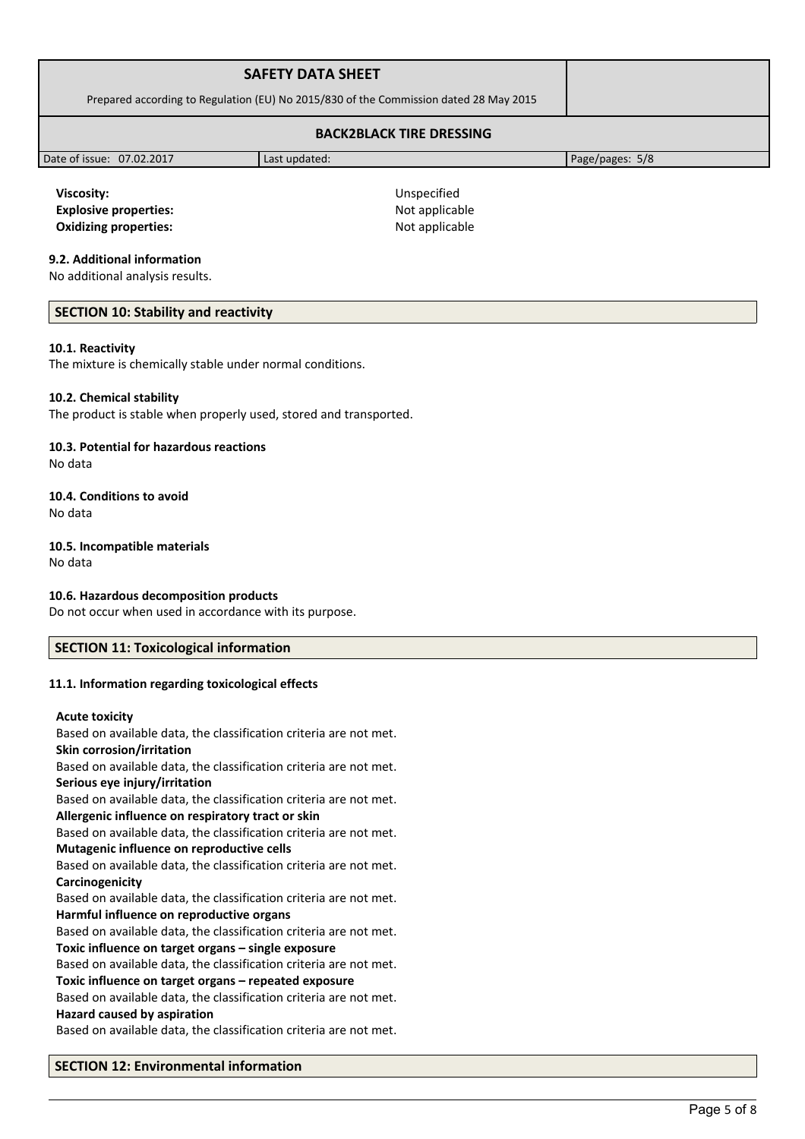| <b>SAFETY DATA SHEET</b>                                                              |  |
|---------------------------------------------------------------------------------------|--|
| Prepared according to Regulation (EU) No 2015/830 of the Commission dated 28 May 2015 |  |
| <b>BACK2BLACK TIRE DRESSING</b>                                                       |  |

Date of issue: 07.02.2017 Last updated: Page/pages: 5/8

**Viscosity:** Unspecified **Explosive properties:**  $\blacksquare$  Not applicable **Oxidizing properties:** Not applicable

## **9.2. Additional information**

No additional analysis results.

## **SECTION 10: Stability and reactivity**

### **10.1. Reactivity**

The mixture is chemically stable under normal conditions.

### **10.2. Chemical stability**

The product is stable when properly used, stored and transported.

### **10.3. Potential for hazardous reactions**

No data

### **10.4. Conditions to avoid** No data

### **10.5. Incompatible materials**

No data

# **10.6. Hazardous decomposition products**

Do not occur when used in accordance with its purpose.

# **SECTION 11: Toxicological information**

### **11.1. Information regarding toxicological effects**

### **Acute toxicity**

Based on available data, the classification criteria are not met. **Skin corrosion/irritation**

Based on available data, the classification criteria are not met. **Serious eye injury/irritation**

Based on available data, the classification criteria are not met. **Allergenic influence on respiratory tract or skin**

Based on available data, the classification criteria are not met. **Mutagenic influence on reproductive cells**

Based on available data, the classification criteria are not met. **Carcinogenicity**

Based on available data, the classification criteria are not met. **Harmful influence on reproductive organs**

Based on available data, the classification criteria are not met. **Toxic influence on target organs – single exposure**

Based on available data, the classification criteria are not met. **Toxic influence on target organs – repeated exposure**

Based on available data, the classification criteria are not met. **Hazard caused by aspiration**

Based on available data, the classification criteria are not met.

### **SECTION 12: Environmental information**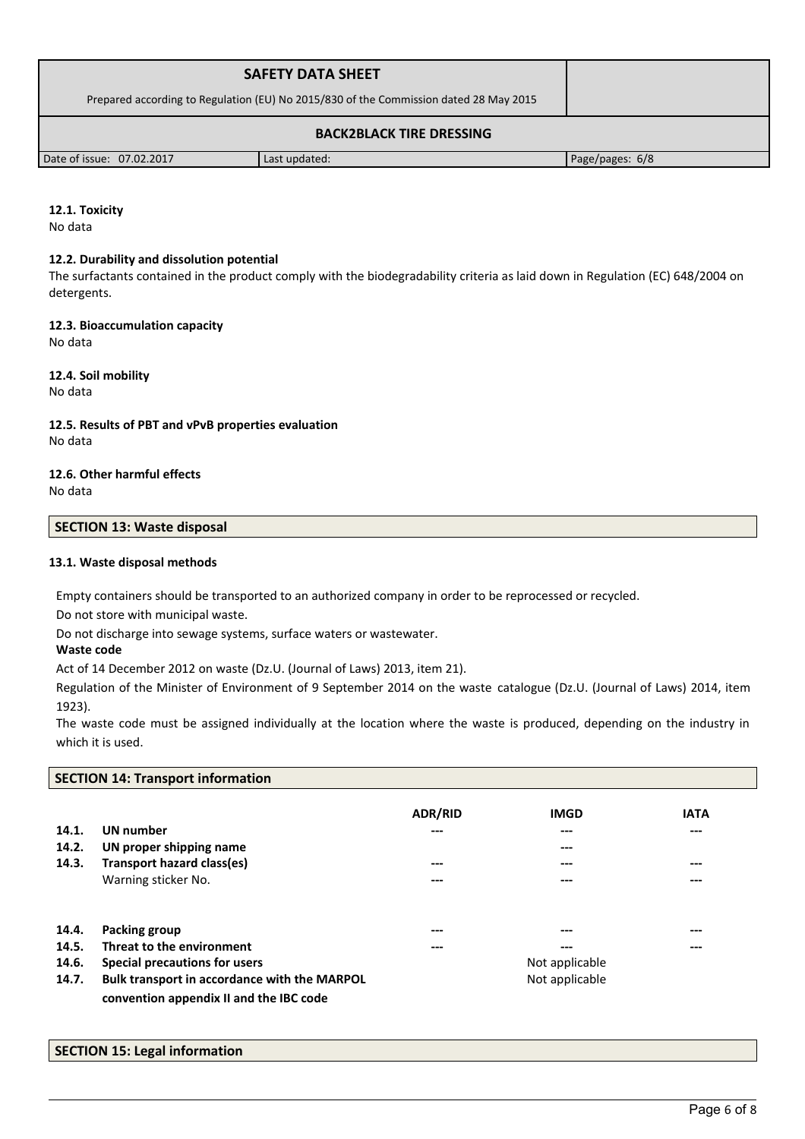| <b>SAFETY DATA SHEET</b>                                                              |               |                 |  |
|---------------------------------------------------------------------------------------|---------------|-----------------|--|
| Prepared according to Regulation (EU) No 2015/830 of the Commission dated 28 May 2015 |               |                 |  |
| <b>BACK2BLACK TIRE DRESSING</b>                                                       |               |                 |  |
| Date of issue: 07.02.2017                                                             | Last updated: | Page/pages: 6/8 |  |

# **12.1. Toxicity**

No data

### **12.2. Durability and dissolution potential**

The surfactants contained in the product comply with the biodegradability criteria as laid down in Regulation (EC) 648/2004 on detergents.

### **12.3. Bioaccumulation capacity**

No data

### **12.4. Soil mobility**

No data

## **12.5. Results of PBT and vPvB properties evaluation** No data

#### **12.6. Other harmful effects** No data

# **SECTION 13: Waste disposal**

### **13.1. Waste disposal methods**

Empty containers should be transported to an authorized company in order to be reprocessed or recycled. Do not store with municipal waste.

Do not discharge into sewage systems, surface waters or wastewater.

### **Waste code**

Act of 14 December 2012 on waste (Dz.U. (Journal of Laws) 2013, item 21).

Regulation of the Minister of Environment of 9 September 2014 on the waste catalogue (Dz.U. (Journal of Laws) 2014, item 1923).

The waste code must be assigned individually at the location where the waste is produced, depending on the industry in which it is used.

# **SECTION 14: Transport information**

| 14.1.<br>14.2. | <b>UN</b> number<br>UN proper shipping name                                             | <b>ADR/RID</b><br>--- | <b>IMGD</b><br>$---$<br>$---$ | <b>IATA</b><br>$---$ |
|----------------|-----------------------------------------------------------------------------------------|-----------------------|-------------------------------|----------------------|
| 14.3.          | Transport hazard class(es)                                                              | ---                   | ---                           | $---$                |
|                | Warning sticker No.                                                                     | ---                   | $---$                         | $---$                |
| 14.4.          | Packing group                                                                           | ---                   | $---$                         | $---$                |
| 14.5.          | Threat to the environment                                                               | $---$                 | $---$                         | $---$                |
| 14.6.          | Special precautions for users                                                           |                       | Not applicable                |                      |
| 14.7.          | Bulk transport in accordance with the MARPOL<br>convention appendix II and the IBC code |                       | Not applicable                |                      |

### **SECTION 15: Legal information**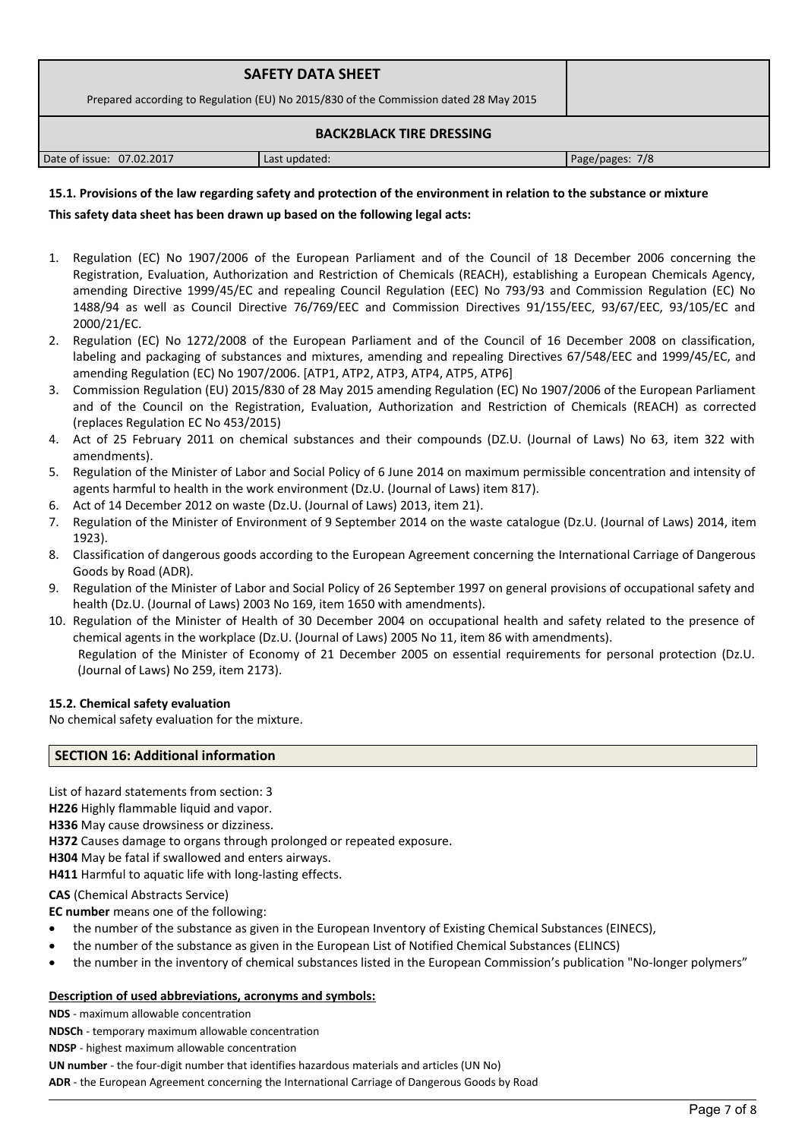| <b>SAFETY DATA SHEET</b><br>Prepared according to Regulation (EU) No 2015/830 of the Commission dated 28 May 2015 |               |                 |
|-------------------------------------------------------------------------------------------------------------------|---------------|-----------------|
| <b>BACK2BLACK TIRE DRESSING</b>                                                                                   |               |                 |
| Date of issue: 07.02.2017                                                                                         | Last updated: | Page/pages: 7/8 |

# **15.1. Provisions of the law regarding safety and protection of the environment in relation to the substance or mixture**

## **This safety data sheet has been drawn up based on the following legal acts:**

- 1. Regulation (EC) No 1907/2006 of the European Parliament and of the Council of 18 December 2006 concerning the Registration, Evaluation, Authorization and Restriction of Chemicals (REACH), establishing a European Chemicals Agency, amending Directive 1999/45/EC and repealing Council Regulation (EEC) No 793/93 and Commission Regulation (EC) No 1488/94 as well as Council Directive 76/769/EEC and Commission Directives 91/155/EEC, 93/67/EEC, 93/105/EC and 2000/21/EC.
- 2. Regulation (EC) No 1272/2008 of the European Parliament and of the Council of 16 December 2008 on classification, labeling and packaging of substances and mixtures, amending and repealing Directives 67/548/EEC and 1999/45/EC, and amending Regulation (EC) No 1907/2006. [ATP1, ATP2, ATP3, ATP4, ATP5, ATP6]
- 3. Commission Regulation (EU) 2015/830 of 28 May 2015 amending Regulation (EC) No 1907/2006 of the European Parliament and of the Council on the Registration, Evaluation, Authorization and Restriction of Chemicals (REACH) as corrected (replaces Regulation EC No 453/2015)
- 4. Act of 25 February 2011 on chemical substances and their compounds (DZ.U. (Journal of Laws) No 63, item 322 with amendments).
- 5. Regulation of the Minister of Labor and Social Policy of 6 June 2014 on maximum permissible concentration and intensity of agents harmful to health in the work environment (Dz.U. (Journal of Laws) item 817).
- 6. Act of 14 December 2012 on waste (Dz.U. (Journal of Laws) 2013, item 21).
- 7. Regulation of the Minister of Environment of 9 September 2014 on the waste catalogue (Dz.U. (Journal of Laws) 2014, item 1923).
- 8. Classification of dangerous goods according to the European Agreement concerning the International Carriage of Dangerous Goods by Road (ADR).
- 9. Regulation of the Minister of Labor and Social Policy of 26 September 1997 on general provisions of occupational safety and health (Dz.U. (Journal of Laws) 2003 No 169, item 1650 with amendments).
- 10. Regulation of the Minister of Health of 30 December 2004 on occupational health and safety related to the presence of chemical agents in the workplace (Dz.U. (Journal of Laws) 2005 No 11, item 86 with amendments). Regulation of the Minister of Economy of 21 December 2005 on essential requirements for personal protection (Dz.U. (Journal of Laws) No 259, item 2173).

### **15.2. Chemical safety evaluation**

No chemical safety evaluation for the mixture.

### **SECTION 16: Additional information**

List of hazard statements from section: 3

**H226** Highly flammable liquid and vapor.

**H336** May cause drowsiness or dizziness.

**H372** Causes damage to organs through prolonged or repeated exposure.

**H304** May be fatal if swallowed and enters airways.

**H411** Harmful to aquatic life with long-lasting effects.

## **CAS** (Chemical Abstracts Service)

**EC number** means one of the following:

- the number of the substance as given in the European Inventory of Existing Chemical Substances (EINECS),
- the number of the substance as given in the European List of Notified Chemical Substances (ELINCS)
- the number in the inventory of chemical substances listed in the European Commission's publication "No-longer polymers"

## **Description of used abbreviations, acronyms and symbols:**

**NDS** - maximum allowable concentration

**NDSCh** - temporary maximum allowable concentration

**NDSP** - highest maximum allowable concentration

**UN number** - the four-digit number that identifies hazardous materials and articles (UN No)

**ADR** - the European Agreement concerning the International Carriage of Dangerous Goods by Road